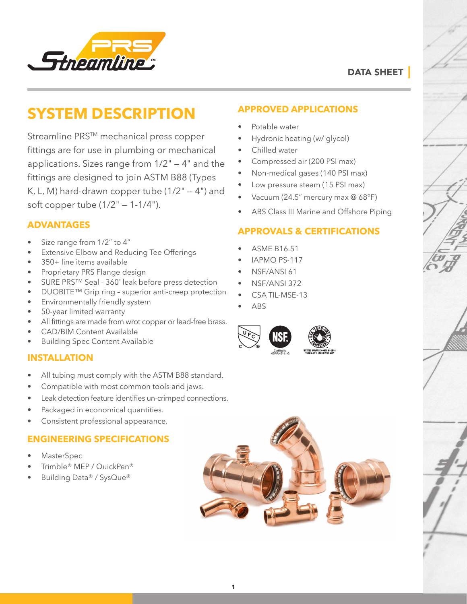

# DATA SHEET

# **SYSTEM DESCRIPTION**

Streamline PRS™ mechanical press copper fittings are for use in plumbing or mechanical applications. Sizes range from 1/2" — 4" and the fittings are designed to join ASTM B88 (Types K, L, M) hard-drawn copper tube  $(1/2 - 4)$  and soft copper tube (1/2" — 1-1/4").

## **ADVANTAGES**

- Size range from 1/2" to 4"
- Extensive Elbow and Reducing Tee Offerings
- 350+ line items available
- Proprietary PRS Flange design
- SURE PRS™ Seal 360˚ leak before press detection
- DUOBITE™ Grip ring superior anti-creep protection
- Environmentally friendly system
- 50-year limited warranty
- All fittings are made from wrot copper or lead-free brass.
- CAD/BIM Content Available
- Building Spec Content Available

#### **INSTALLATION**

- All tubing must comply with the ASTM B88 standard.
- Compatible with most common tools and jaws.
- Leak detection feature identifies un-crimped connections.
- Packaged in economical quantities.
- Consistent professional appearance.

#### **ENGINEERING SPECIFICATIONS**

- MasterSpec
- Trimble® MEP / QuickPen®
- Building Data® / SysQue®

## **APPROVED APPLICATIONS**

- Potable water
- Hydronic heating (w/ glycol)
- Chilled water
- Compressed air (200 PSI max)
- Non-medical gases (140 PSI max)
- Low pressure steam (15 PSI max)
- Vacuum (24.5" mercury max @ 68°F)
- ABS Class III Marine and Offshore Piping

## **APPROVALS & CERTIFICATIONS**

- ASME B16.51
- IAPMO PS-117
- NSF/ANSI 61
- NSF/ANSI 372
- CSA TIL-MSE-13
- ABS